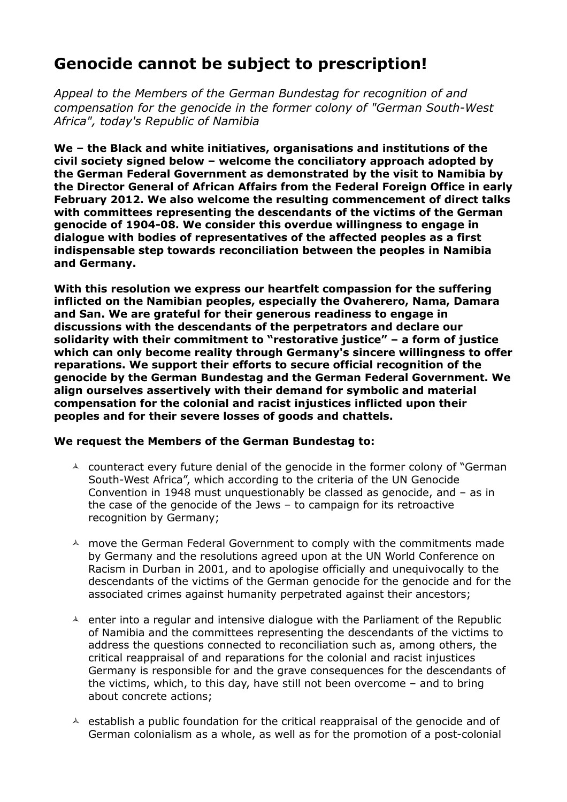## **Genocide cannot be subject to prescription!**

*Appeal to the Members of the German Bundestag for recognition of and compensation for the genocide in the former colony of "German South-West Africa", today's Republic of Namibia*

**We – the Black and white initiatives, organisations and institutions of the civil society signed below – welcome the conciliatory approach adopted by the German Federal Government as demonstrated by the visit to Namibia by the Director General of African Affairs from the Federal Foreign Office in early February 2012. We also welcome the resulting commencement of direct talks with committees representing the descendants of the victims of the German genocide of 1904-08. We consider this overdue willingness to engage in dialogue with bodies of representatives of the affected peoples as a first indispensable step towards reconciliation between the peoples in Namibia and Germany.**

**With this resolution we express our heartfelt compassion for the suffering inflicted on the Namibian peoples, especially the Ovaherero, Nama, Damara and San. We are grateful for their generous readiness to engage in discussions with the descendants of the perpetrators and declare our solidarity with their commitment to "restorative justice" – a form of justice which can only become reality through Germany's sincere willingness to offer reparations. We support their efforts to secure official recognition of the genocide by the German Bundestag and the German Federal Government. We align ourselves assertively with their demand for symbolic and material compensation for the colonial and racist injustices inflicted upon their peoples and for their severe losses of goods and chattels.**

## **We request the Members of the German Bundestag to:**

- $\triangle$  counteract every future denial of the genocide in the former colony of "German" South-West Africa", which according to the criteria of the UN Genocide Convention in 1948 must unquestionably be classed as genocide, and – as in the case of the genocide of the Jews – to campaign for its retroactive recognition by Germany;
- $\triangle$  move the German Federal Government to comply with the commitments made by Germany and the resolutions agreed upon at the UN World Conference on Racism in Durban in 2001, and to apologise officially and unequivocally to the descendants of the victims of the German genocide for the genocide and for the associated crimes against humanity perpetrated against their ancestors;
- $\triangle$  enter into a regular and intensive dialogue with the Parliament of the Republic of Namibia and the committees representing the descendants of the victims to address the questions connected to reconciliation such as, among others, the critical reappraisal of and reparations for the colonial and racist injustices Germany is responsible for and the grave consequences for the descendants of the victims, which, to this day, have still not been overcome – and to bring about concrete actions;
- $\triangle$  establish a public foundation for the critical reappraisal of the genocide and of German colonialism as a whole, as well as for the promotion of a post-colonial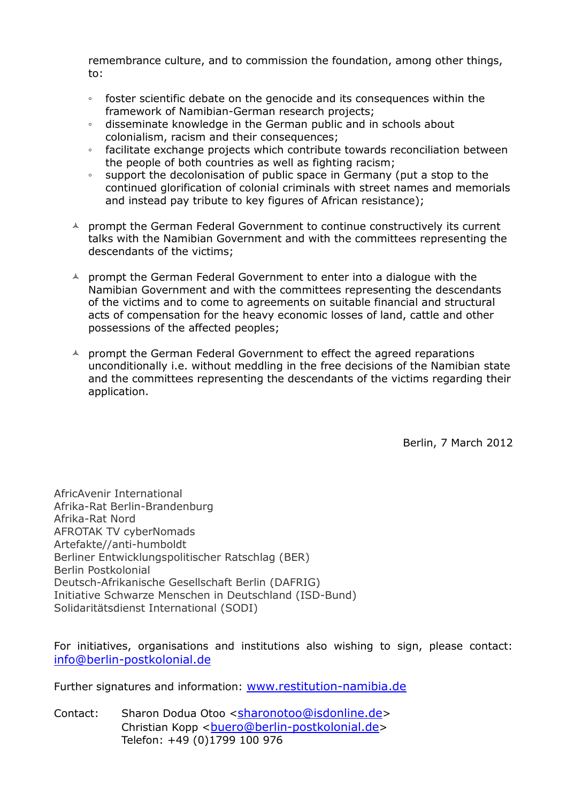remembrance culture, and to commission the foundation, among other things, to:

- foster scientific debate on the genocide and its consequences within the framework of Namibian-German research projects;
- disseminate knowledge in the German public and in schools about colonialism, racism and their consequences;
- facilitate exchange projects which contribute towards reconciliation between the people of both countries as well as fighting racism;
- support the decolonisation of public space in Germany (put a stop to the continued glorification of colonial criminals with street names and memorials and instead pay tribute to key figures of African resistance);
- $\uparrow$  prompt the German Federal Government to continue constructively its current talks with the Namibian Government and with the committees representing the descendants of the victims;
- $\triangle$  prompt the German Federal Government to enter into a dialogue with the Namibian Government and with the committees representing the descendants of the victims and to come to agreements on suitable financial and structural acts of compensation for the heavy economic losses of land, cattle and other possessions of the affected peoples;
- $\triangle$  prompt the German Federal Government to effect the agreed reparations unconditionally i.e. without meddling in the free decisions of the Namibian state and the committees representing the descendants of the victims regarding their application.

Berlin, 7 March 2012

AfricAvenir International Afrika-Rat Berlin-Brandenburg Afrika-Rat Nord AFROTAK TV cyberNomads Artefakte//anti-humboldt Berliner Entwicklungspolitischer Ratschlag (BER) Berlin Postkolonial Deutsch-Afrikanische Gesellschaft Berlin (DAFRIG) Initiative Schwarze Menschen in Deutschland (ISD-Bund) Solidaritätsdienst International (SODI)

For initiatives, organisations and institutions also wishing to sign, please contact: info@berlin-postkolonial.de

Further signatures and information: www.restitution-namibia.de

Contact: Sharon Dodua Otoo <sharonotoo@isdonline.de> Christian Kopp < buero@berlin-postkolonial.de> Telefon: +49 (0)1799 100 976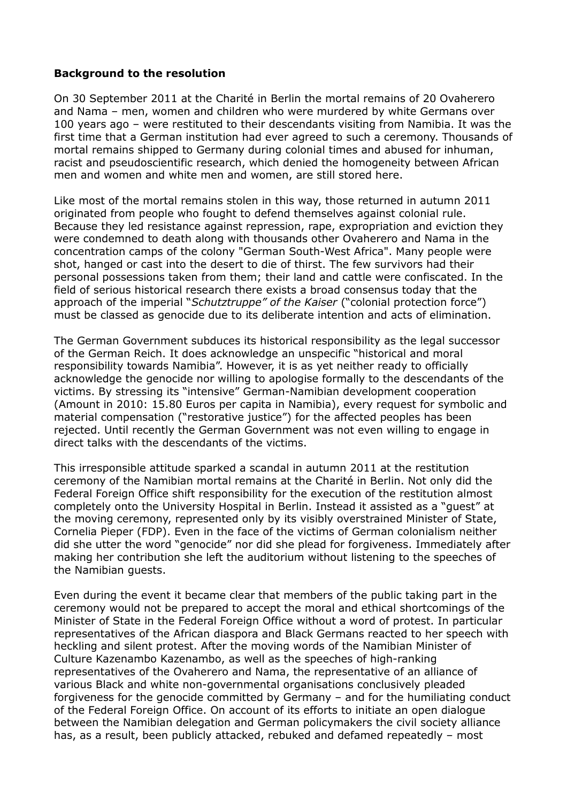## **Background to the resolution**

On 30 September 2011 at the Charité in Berlin the mortal remains of 20 Ovaherero and Nama – men, women and children who were murdered by white Germans over 100 years ago – were restituted to their descendants visiting from Namibia. It was the first time that a German institution had ever agreed to such a ceremony. Thousands of mortal remains shipped to Germany during colonial times and abused for inhuman, racist and pseudoscientific research, which denied the homogeneity between African men and women and white men and women, are still stored here.

Like most of the mortal remains stolen in this way, those returned in autumn 2011 originated from people who fought to defend themselves against colonial rule. Because they led resistance against repression, rape, expropriation and eviction they were condemned to death along with thousands other Ovaherero and Nama in the concentration camps of the colony "German South-West Africa". Many people were shot, hanged or cast into the desert to die of thirst. The few survivors had their personal possessions taken from them; their land and cattle were confiscated. In the field of serious historical research there exists a broad consensus today that the approach of the imperial "*Schutztruppe" of the Kaiser* ("colonial protection force") must be classed as genocide due to its deliberate intention and acts of elimination.

The German Government subduces its historical responsibility as the legal successor of the German Reich. It does acknowledge an unspecific "historical and moral responsibility towards Namibia". However, it is as yet neither ready to officially acknowledge the genocide nor willing to apologise formally to the descendants of the victims. By stressing its "intensive" German-Namibian development cooperation (Amount in 2010: 15.80 Euros per capita in Namibia), every request for symbolic and material compensation ("restorative justice") for the affected peoples has been rejected. Until recently the German Government was not even willing to engage in direct talks with the descendants of the victims.

This irresponsible attitude sparked a scandal in autumn 2011 at the restitution ceremony of the Namibian mortal remains at the Charité in Berlin. Not only did the Federal Foreign Office shift responsibility for the execution of the restitution almost completely onto the University Hospital in Berlin. Instead it assisted as a "guest" at the moving ceremony, represented only by its visibly overstrained Minister of State, Cornelia Pieper (FDP). Even in the face of the victims of German colonialism neither did she utter the word "genocide" nor did she plead for forgiveness. Immediately after making her contribution she left the auditorium without listening to the speeches of the Namibian guests.

Even during the event it became clear that members of the public taking part in the ceremony would not be prepared to accept the moral and ethical shortcomings of the Minister of State in the Federal Foreign Office without a word of protest. In particular representatives of the African diaspora and Black Germans reacted to her speech with heckling and silent protest. After the moving words of the Namibian Minister of Culture Kazenambo Kazenambo, as well as the speeches of high-ranking representatives of the Ovaherero and Nama, the representative of an alliance of various Black and white non-governmental organisations conclusively pleaded forgiveness for the genocide committed by Germany – and for the humiliating conduct of the Federal Foreign Office. On account of its efforts to initiate an open dialogue between the Namibian delegation and German policymakers the civil society alliance has, as a result, been publicly attacked, rebuked and defamed repeatedly – most